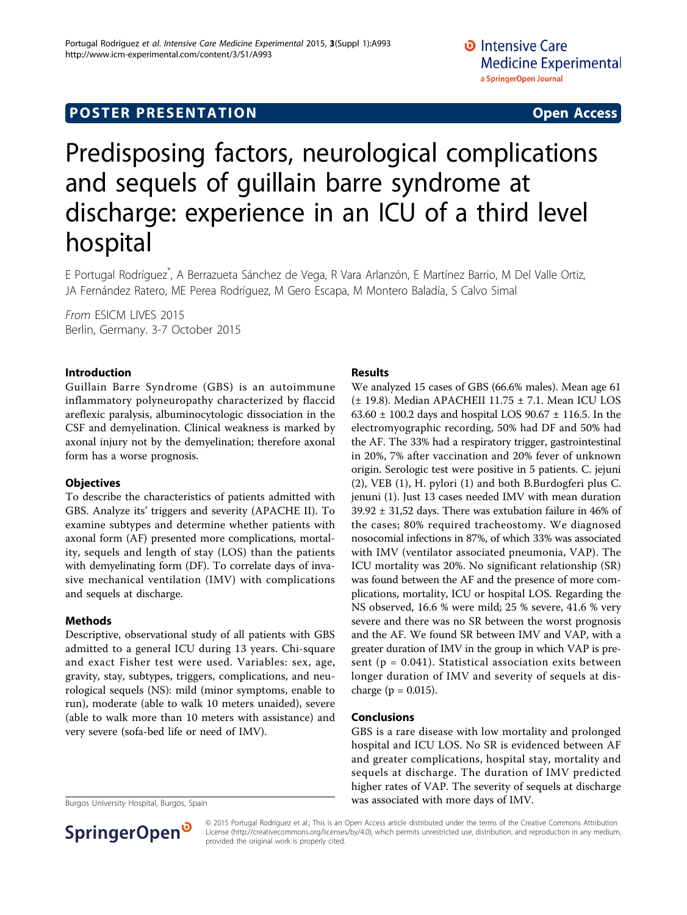## **POSTER PRESENTATION CONSUMING ACCESS**

# Predisposing factors, neurological complications and sequels of guillain barre syndrome at discharge: experience in an ICU of a third level hospital

E Portugal Rodríguez<sup>\*</sup>, A Berrazueta Sánchez de Vega, R Vara Arlanzón, E Martínez Barrio, M Del Valle Ortiz, JA Fernández Ratero, ME Perea Rodríguez, M Gero Escapa, M Montero Baladía, S Calvo Simal

From ESICM LIVES 2015 Berlin, Germany. 3-7 October 2015

#### Introduction

Guillain Barre Syndrome (GBS) is an autoimmune inflammatory polyneuropathy characterized by flaccid areflexic paralysis, albuminocytologic dissociation in the CSF and demyelination. Clinical weakness is marked by axonal injury not by the demyelination; therefore axonal form has a worse prognosis.

#### **Objectives**

To describe the characteristics of patients admitted with GBS. Analyze its' triggers and severity (APACHE II). To examine subtypes and determine whether patients with axonal form (AF) presented more complications, mortality, sequels and length of stay (LOS) than the patients with demyelinating form (DF). To correlate days of invasive mechanical ventilation (IMV) with complications and sequels at discharge.

#### Methods

Descriptive, observational study of all patients with GBS admitted to a general ICU during 13 years. Chi-square and exact Fisher test were used. Variables: sex, age, gravity, stay, subtypes, triggers, complications, and neurological sequels (NS): mild (minor symptoms, enable to run), moderate (able to walk 10 meters unaided), severe (able to walk more than 10 meters with assistance) and very severe (sofa-bed life or need of IMV).



#### Results

We analyzed 15 cases of GBS (66.6% males). Mean age 61 (± 19.8). Median APACHEII 11.75 ± 7.1. Mean ICU LOS 63.60 ± 100.2 days and hospital LOS 90.67 ± 116.5. In the electromyographic recording, 50% had DF and 50% had the AF. The 33% had a respiratory trigger, gastrointestinal in 20%, 7% after vaccination and 20% fever of unknown origin. Serologic test were positive in 5 patients. C. jejuni (2), VEB (1), H. pylori (1) and both B.Burdogferi plus C. jenuni (1). Just 13 cases needed IMV with mean duration  $39.92 \pm 31.52$  days. There was extubation failure in 46% of the cases; 80% required tracheostomy. We diagnosed nosocomial infections in 87%, of which 33% was associated with IMV (ventilator associated pneumonia, VAP). The ICU mortality was 20%. No significant relationship (SR) was found between the AF and the presence of more complications, mortality, ICU or hospital LOS. Regarding the NS observed, 16.6 % were mild; 25 % severe, 41.6 % very severe and there was no SR between the worst prognosis and the AF. We found SR between IMV and VAP, with a greater duration of IMV in the group in which VAP is present ( $p = 0.041$ ). Statistical association exits between longer duration of IMV and severity of sequels at discharge ( $p = 0.015$ ).

#### Conclusions

GBS is a rare disease with low mortality and prolonged hospital and ICU LOS. No SR is evidenced between AF and greater complications, hospital stay, mortality and sequels at discharge. The duration of IMV predicted higher rates of VAP. The severity of sequels at discharge Burgos University Hospital, Burgos, Spain **was associated with more days of IMV**.

> © 2015 Portugal Rodríguez et al.; This is an Open Access article distributed under the terms of the Creative Commons Attribution License [\(http://creativecommons.org/licenses/by/4.0](http://creativecommons.org/licenses/by/4.0)), which permits unrestricted use, distribution, and reproduction in any medium, provided the original work is properly cited.